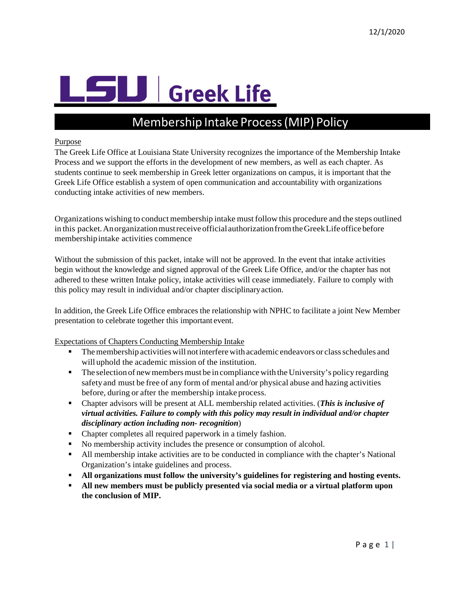# **U** Greek Life

# Membership Intake Process(MIP) Policy

## Purpose

The Greek Life Office at Louisiana State University recognizes the importance of the Membership Intake Process and we support the efforts in the development of new members, as well as each chapter. As students continue to seek membership in Greek letter organizations on campus, it is important that the Greek Life Office establish a system of open communication and accountability with organizations conducting intake activities of new members.

Organizations wishing to conduct membership intake mustfollow this procedure and the steps outlined in this packet. An organization must receive official authorization from the Greek Life office before membershipintake activities commence

Without the submission of this packet, intake will not be approved. In the event that intake activities begin without the knowledge and signed approval of the Greek Life Office, and/or the chapter has not adhered to these written Intake policy, intake activities will cease immediately. Failure to comply with this policy may result in individual and/or chapter disciplinaryaction.

In addition, the Greek Life Office embraces the relationship with NPHC to facilitate a joint New Member presentation to celebrate together this important event.

Expectations of Chapters Conducting Membership Intake

- **Themembership activities will not interfere with academic endeavors or class schedules and** will uphold the academic mission of the institution.
- $\blacksquare$  The selection of new members must be in compliance with the University's policy regarding safetyand must be free of any form of mental and/or physical abuse and hazing activities before, during or after the membership intake process.
- Chapter advisors will be present at ALL membership related activities. (*This is inclusive of virtual activities. Failure to comply with this policy may result in individual and/or chapter disciplinary action including non- recognition*)
- Chapter completes all required paperwork in a timely fashion.
- No membership activity includes the presence or consumption of alcohol.
- All membership intake activities are to be conducted in compliance with the chapter's National Organization's intake guidelines and process.
- **All organizations must follow the university's guidelines for registering and hosting events.**
- **All new members must be publicly presented via social media or a virtual platform upon the conclusion of MIP.**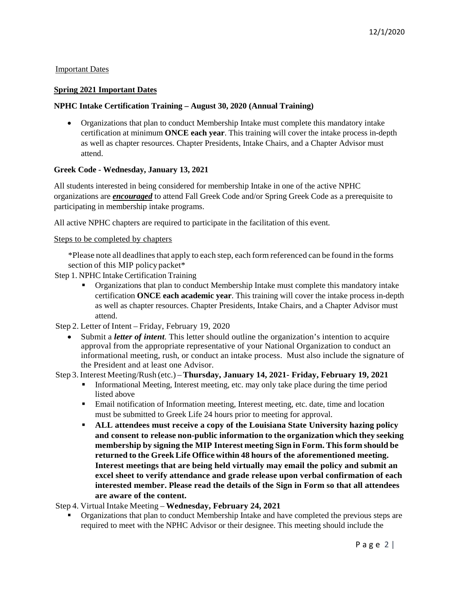# Important Dates

# **Spring 2021 Important Dates**

# **NPHC Intake Certification Training – August 30, 2020 (Annual Training)**

• Organizations that plan to conduct Membership Intake must complete this mandatory intake certification at minimum **ONCE each year**. This training will cover the intake process in-depth as well as chapter resources. Chapter Presidents, Intake Chairs, and a Chapter Advisor must attend.

## **Greek Code - Wednesday, January 13, 2021**

All students interested in being considered for membership Intake in one of the active NPHC organizations are *encouraged* to attend Fall Greek Code and/or Spring Greek Code as a prerequisite to participating in membership intake programs.

All active NPHC chapters are required to participate in the facilitation of this event.

## Steps to be completed by chapters

\*Please note all deadlines that apply to each step, each form referenced can be found in the forms section of this MIP policy packet\*

- Step 1. NPHC Intake Certification Training
	- Organizations that plan to conduct Membership Intake must complete this mandatory intake certification **ONCE each academic year**. This training will cover the intake process in-depth as well as chapter resources. Chapter Presidents, Intake Chairs, and a Chapter Advisor must attend.
- Step 2. Letter of Intent Friday, February 19, 2020
	- Submit a *letter of intent*. This letter should outline the organization's intention to acquire approval from the appropriate representative of your National Organization to conduct an informational meeting, rush, or conduct an intake process. Must also include the signature of the President and at least one Advisor.

# Step 3.Interest Meeting/Rush (etc.) – **Thursday, January 14, 2021- Friday, February 19, 2021**

- Informational Meeting, Interest meeting, etc. may only take place during the time period listed above
- Email notification of Information meeting, Interest meeting, etc. date, time and location must be submitted to Greek Life 24 hours prior to meeting for approval.
- **ALL attendees must receive a copy of the Louisiana State University hazing policy and consent to release non-public information to the organization which they seeking membership by signing the MIP Interest meeting Sign in Form. Thisform should be returned to the Greek Life Office within 48 hours of the aforementioned meeting. Interest meetings that are being held virtually may email the policy and submit an excel sheet to verify attendance and grade release upon verbal confirmation of each interested member. Please read the details of the Sign in Form so that all attendees are aware of the content.**

Step 4. Virtual Intake Meeting – **Wednesday, February 24, 2021**

**•** Organizations that plan to conduct Membership Intake and have completed the previous steps are required to meet with the NPHC Advisor or their designee. This meeting should include the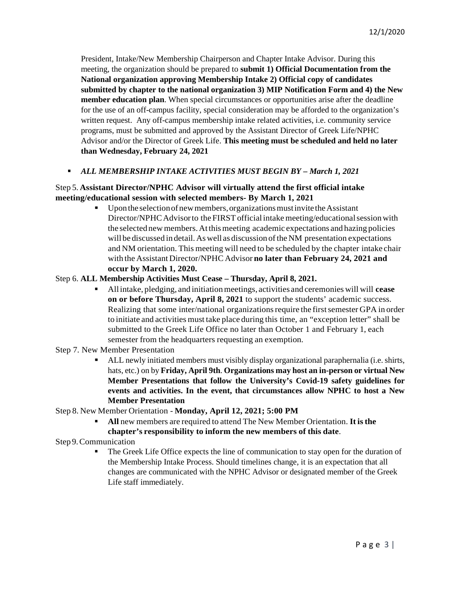President, Intake/New Membership Chairperson and Chapter Intake Advisor. During this meeting, the organization should be prepared to **submit 1) Official Documentation from the National organization approving Membership Intake 2) Official copy of candidates submitted by chapter to the national organization 3) MIP Notification Form and 4) the New member education plan**. When special circumstances or opportunities arise after the deadline for the use of an off-campus facility, special consideration may be afforded to the organization's written request. Any off-campus membership intake related activities, i.e. community service programs, must be submitted and approved by the Assistant Director of Greek Life/NPHC Advisor and/or the Director of Greek Life. **This meeting must be scheduled and held no later than Wednesday, February 24, 2021**

# *ALL MEMBERSHIP INTAKE ACTIVITIES MUST BEGIN BY – March 1, 2021*

# Step 5. **Assistant Director/NPHC Advisor will virtually attend the first official intake meeting/educational session with selected members- By March 1, 2021**

Upon the selection of new members, organizations must invite the Assistant Director/NPHC Advisor to the FIRST official intake meeting/educational session with the selected newmembers.Atthismeeting academic expectations and hazing policies will be discussed in detail. As well as discussion of the NM presentation expectations and NM orientation. This meeting will need to be scheduled by the chapter intake chair with the Assistant Director/NPHC Advisor **no later than February 24, 2021 and occur by March 1, 2020.**

## Step 6. **ALL Membership Activities Must Cease – Thursday, April 8, 2021.**

- Allintake, pledging, and initiationmeetings, activities and ceremonies will will **cease on or before Thursday, April 8, 2021** to support the students' academic success. Realizing that some inter/national organizations require the first semester GPA in order to initiate and activities must take place during this time, an "exception letter" shall be submitted to the Greek Life Office no later than October 1 and February 1, each semester from the headquarters requesting an exemption.
- Step 7. New Member Presentation
	- ALL newly initiated members must visibly display organizational paraphernalia (i.e. shirts, hats, etc.) on by **Friday, April 9th**. **Organizations may host an in-person or virtual New Member Presentations that follow the University's Covid-19 safety guidelines for events and activities. In the event, that circumstances allow NPHC to host a New Member Presentation**
- Step 8. New Member Orientation **Monday, April 12, 2021; 5:00 PM**
	- **All** new members are required to attend The New Member Orientation. **It isthe chapter's responsibility to inform the new members of this date**.

## Step 9.Communication

 The Greek Life Office expects the line of communication to stay open for the duration of the Membership Intake Process. Should timelines change, it is an expectation that all changes are communicated with the NPHC Advisor or designated member of the Greek Life staff immediately.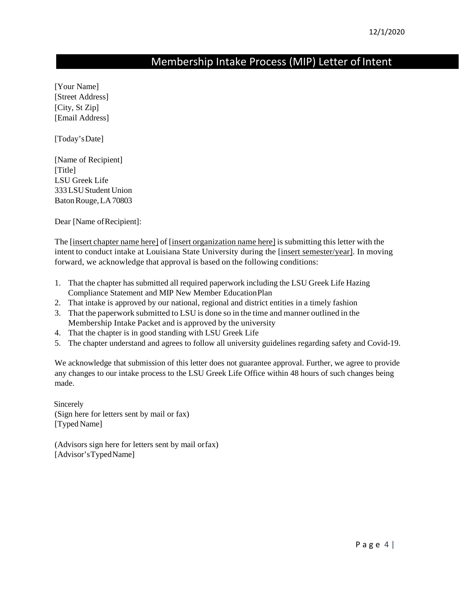# Membership Intake Process (MIP) Letter of Intent

[Your Name] [Street Address] [City, St Zip] [Email Address]

[Today'sDate]

[Name of Recipient] [Title] LSU Greek Life 333LSUStudent Union BatonRouge,LA70803

Dear [Name of Recipient]:

The [insert chapter name here] of [insert organization name here] is submitting this letter with the intent to conduct intake at Louisiana State University during the [insert semester/year]. In moving forward, we acknowledge that approval is based on the following conditions:

- 1. That the chapter has submitted all required paperwork including the LSU Greek Life Hazing Compliance Statement and MIP New Member EducationPlan
- 2. That intake is approved by our national, regional and district entities in a timely fashion
- 3. That the paperwork submitted to LSU is done so in the time and manner outlined in the Membership Intake Packet and is approved by the university
- 4. That the chapter is in good standing with LSU Greek Life
- 5. The chapter understand and agrees to follow all university guidelines regarding safety and Covid-19.

We acknowledge that submission of this letter does not guarantee approval. Further, we agree to provide any changes to our intake process to the LSU Greek Life Office within 48 hours of such changes being made.

Sincerely (Sign here for letters sent by mail or fax) [Typed Name]

(Advisors sign here for letters sent by mail orfax) [Advisor'sTypedName]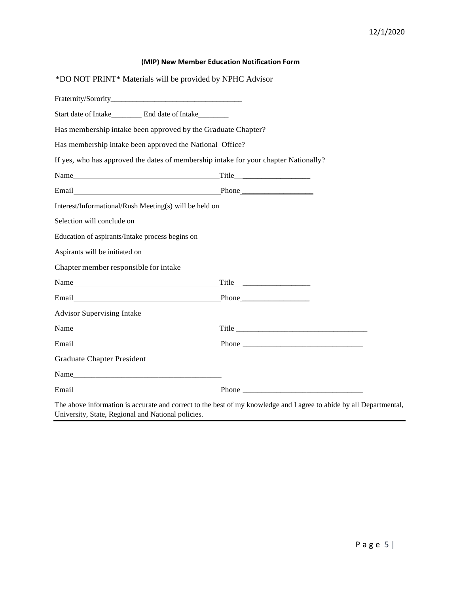| *DO NOT PRINT* Materials will be provided by NPHC Advisor    |                                                                                                                                                                                                                               |
|--------------------------------------------------------------|-------------------------------------------------------------------------------------------------------------------------------------------------------------------------------------------------------------------------------|
|                                                              |                                                                                                                                                                                                                               |
|                                                              |                                                                                                                                                                                                                               |
| Has membership intake been approved by the Graduate Chapter? |                                                                                                                                                                                                                               |
| Has membership intake been approved the National Office?     |                                                                                                                                                                                                                               |
|                                                              | If yes, who has approved the dates of membership intake for your chapter Nationally?                                                                                                                                          |
|                                                              |                                                                                                                                                                                                                               |
|                                                              | Email Phone Phone Phone Phone Phone Phone Phone Phone Phone Phone Phone Phone Phone Phone Phone Phone Phone Phone Phone Phone Phone Phone Phone Phone Phone Phone Phone Phone Phone Phone Phone Phone Phone Phone Phone Phone |
| Interest/Informational/Rush Meeting(s) will be held on       |                                                                                                                                                                                                                               |
| Selection will conclude on                                   |                                                                                                                                                                                                                               |
| Education of aspirants/Intake process begins on              |                                                                                                                                                                                                                               |
| Aspirants will be initiated on                               |                                                                                                                                                                                                                               |
| Chapter member responsible for intake                        |                                                                                                                                                                                                                               |
|                                                              |                                                                                                                                                                                                                               |
|                                                              | Email Phone Phone                                                                                                                                                                                                             |
| <b>Advisor Supervising Intake</b>                            |                                                                                                                                                                                                                               |
|                                                              |                                                                                                                                                                                                                               |
|                                                              | Email Phone Phone Phone                                                                                                                                                                                                       |
| <b>Graduate Chapter President</b>                            |                                                                                                                                                                                                                               |
|                                                              |                                                                                                                                                                                                                               |
|                                                              |                                                                                                                                                                                                                               |

The above information is accurate and correct to the best of my knowledge and I agree to abide by all Departmental, University, State, Regional and National policies.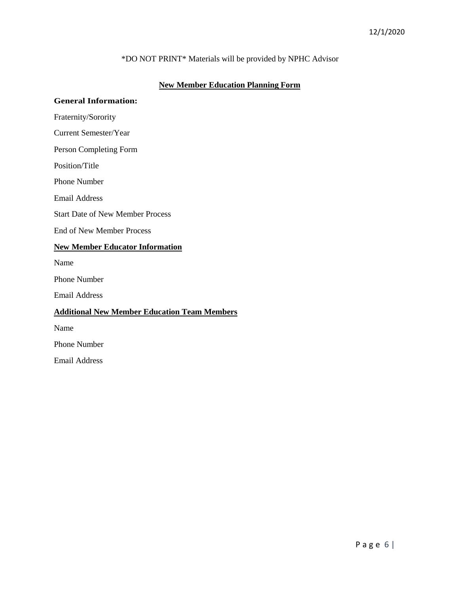# \*DO NOT PRINT\* Materials will be provided by NPHC Advisor

# **New Member Education Planning Form**

# **General Information:**

Fraternity/Sorority

Current Semester/Year

Person Completing Form

Position/Title

Phone Number

Email Address

Start Date of New Member Process

End of New Member Process

#### **New Member Educator Information**

Name

Phone Number

Email Address

## **Additional New Member Education Team Members**

Name

Phone Number

Email Address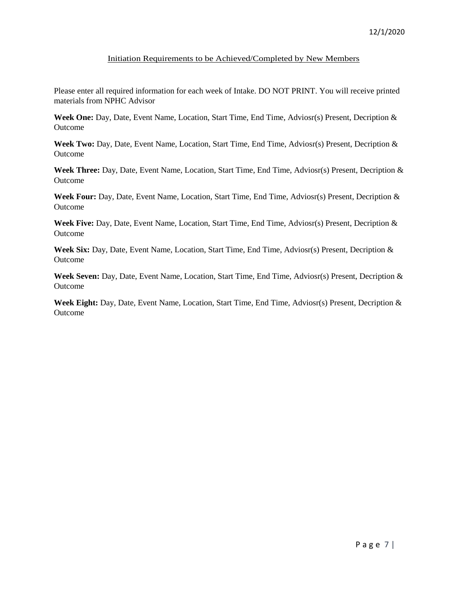## Initiation Requirements to be Achieved/Completed by New Members

Please enter all required information for each week of Intake. DO NOT PRINT. You will receive printed materials from NPHC Advisor

**Week One:** Day, Date, Event Name, Location, Start Time, End Time, Adviosr(s) Present, Decription & Outcome

**Week Two:** Day, Date, Event Name, Location, Start Time, End Time, Adviosr(s) Present, Decription & Outcome

**Week Three:** Day, Date, Event Name, Location, Start Time, End Time, Adviosr(s) Present, Decription & Outcome

**Week Four:** Day, Date, Event Name, Location, Start Time, End Time, Adviosr(s) Present, Decription & Outcome

**Week Five:** Day, Date, Event Name, Location, Start Time, End Time, Adviosr(s) Present, Decription & Outcome

**Week Six:** Day, Date, Event Name, Location, Start Time, End Time, Adviosr(s) Present, Decription & Outcome

**Week Seven:** Day, Date, Event Name, Location, Start Time, End Time, Adviosr(s) Present, Decription & Outcome

**Week Eight:** Day, Date, Event Name, Location, Start Time, End Time, Adviosr(s) Present, Decription & Outcome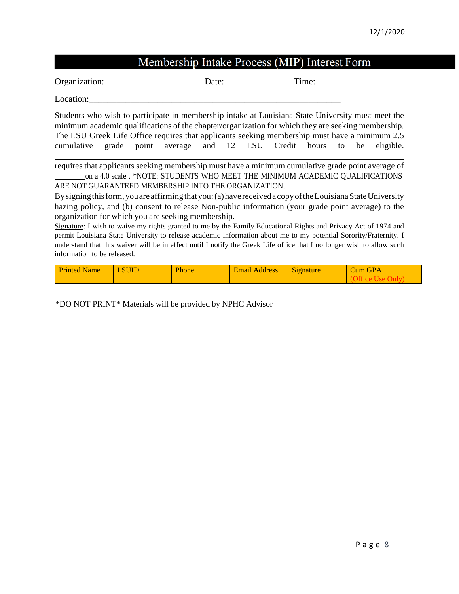# Membership Intake Process (MIP) Interest Form

Organization: Date: Date: Time:

Location:

Students who wish to participate in membership intake at Louisiana State University must meet the minimum academic qualifications of the chapter/organization for which they are seeking membership. The LSU Greek Life Office requires that applicants seeking membership must have a minimum 2.5 cumulative grade point average and 12 LSU Credit hours to be eligible.

requires that applicants seeking membership must have a minimum cumulative grade point average of on a 4.0 scale . \*NOTE: STUDENTS WHO MEET THE MINIMUM ACADEMIC QUALIFICATIONS ARE NOT GUARANTEED MEMBERSHIP INTO THE ORGANIZATION.

By signing this form, you are affirming that you: (a) have received a copy of the Louisiana State University hazing policy, and (b) consent to release Non-public information (your grade point average) to the organization for which you are seeking membership.

Signature: I wish to waive my rights granted to me by the Family Educational Rights and Privacy Act of 1974 and permit Louisiana State University to release academic information about me to my potential Sorority/Fraternity. I understand that this waiver will be in effect until I notify the Greek Life office that I no longer wish to allow such information to be released.

| <b>Printed Name</b> | <b>LSUID</b> | Phone | <b>Email Address</b> | Signature | Cum GPA |
|---------------------|--------------|-------|----------------------|-----------|---------|
|                     |              |       |                      |           |         |

\*DO NOT PRINT\* Materials will be provided by NPHC Advisor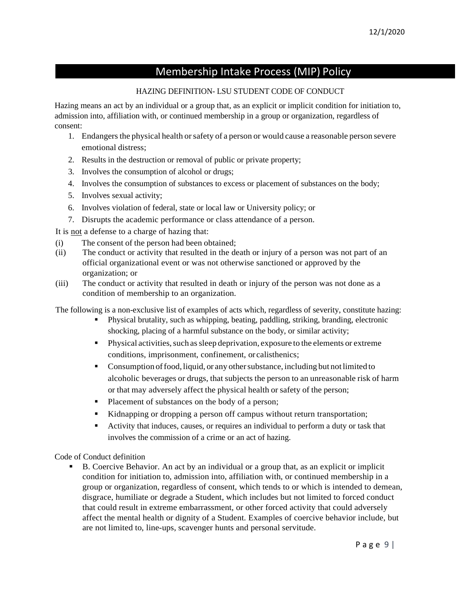# Membership Intake Process (MIP) Policy

# HAZING DEFINITION- LSU STUDENT CODE OF CONDUCT

Hazing means an act by an individual or a group that, as an explicit or implicit condition for initiation to, admission into, affiliation with, or continued membership in a group or organization, regardless of consent:

- 1. Endangers the physical health or safety of a person or would cause a reasonable person severe emotional distress;
- 2. Results in the destruction or removal of public or private property;
- 3. Involves the consumption of alcohol or drugs;
- 4. Involves the consumption of substances to excess or placement of substances on the body;
- 5. Involves sexual activity;
- 6. Involves violation of federal, state or local law or University policy; or
- 7. Disrupts the academic performance or class attendance of a person.

It is not a defense to a charge of hazing that:

- (i) The consent of the person had been obtained;
- (ii) The conduct or activity that resulted in the death or injury of a person was not part of an official organizational event or was not otherwise sanctioned or approved by the organization; or
- (iii) The conduct or activity that resulted in death or injury of the person was not done as a condition of membership to an organization.

The following is a non-exclusive list of examples of acts which, regardless of severity, constitute hazing:

- Physical brutality, such as whipping, beating, paddling, striking, branding, electronic shocking, placing of a harmful substance on the body, or similar activity;
- $\blacksquare$  Physical activities, such as sleep deprivation, exposure to the elements or extreme conditions, imprisonment, confinement, or calisthenics;
- **Consumption of food, liquid, or any other substance, including but not limited to** alcoholic beverages or drugs, that subjects the person to an unreasonable risk of harm or that may adversely affect the physical health or safety of the person;
- Placement of substances on the body of a person;
- Kidnapping or dropping a person off campus without return transportation;
- Activity that induces, causes, or requires an individual to perform a duty or task that involves the commission of a crime or an act of hazing.

Code of Conduct definition

 B. Coercive Behavior. An act by an individual or a group that, as an explicit or implicit condition for initiation to, admission into, affiliation with, or continued membership in a group or organization, regardless of consent, which tends to or which is intended to demean, disgrace, humiliate or degrade a Student, which includes but not limited to forced conduct that could result in extreme embarrassment, or other forced activity that could adversely affect the mental health or dignity of a Student. Examples of coercive behavior include, but are not limited to, line-ups, scavenger hunts and personal servitude.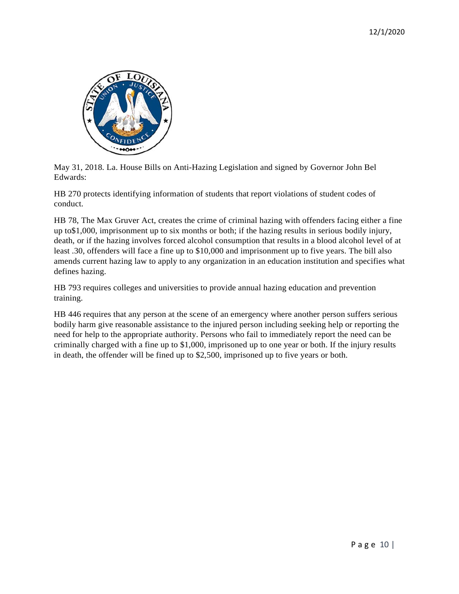

May 31, 2018. La. House Bills on Anti-Hazing Legislation and signed by Governor John Bel Edwards:

HB 270 protects identifying information of students that report violations of student codes of conduct.

HB 78, The Max Gruver Act, creates the crime of criminal hazing with offenders facing either a fine up to\$1,000, imprisonment up to six months or both; if the hazing results in serious bodily injury, death, or if the hazing involves forced alcohol consumption that results in a blood alcohol level of at least .30, offenders will face a fine up to \$10,000 and imprisonment up to five years. The bill also amends current hazing law to apply to any organization in an education institution and specifies what defines hazing.

HB 793 requires colleges and universities to provide annual hazing education and prevention training.

HB 446 requires that any person at the scene of an emergency where another person suffers serious bodily harm give reasonable assistance to the injured person including seeking help or reporting the need for help to the appropriate authority. Persons who fail to immediately report the need can be criminally charged with a fine up to \$1,000, imprisoned up to one year or both. If the injury results in death, the offender will be fined up to \$2,500, imprisoned up to five years or both.